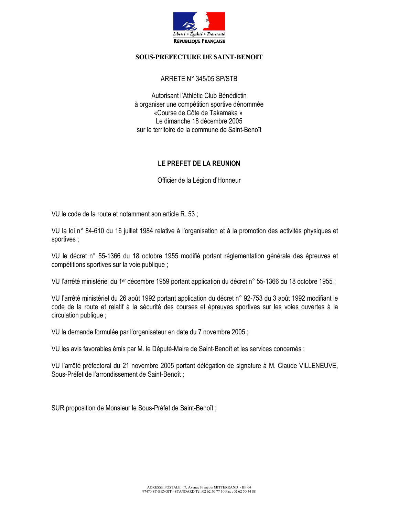

#### **SOUS-PREFECTURE DE SAINT-BENOIT**

#### ARRETE N° 345/05 SP/STB

Autorisant l'Athlétic Club Bénédictin à organiser une compétition sportive dénommée «Course de Côte de Takamaka » Le dimanche 18 décembre 2005 sur le territoire de la commune de Saint-Benoît

# LE PREFET DE LA REUNION

Officier de la Légion d'Honneur

VU le code de la route et notamment son article R. 53 ;

VU la loi n° 84-610 du 16 juillet 1984 relative à l'organisation et à la promotion des activités physiques et sportives;

VU le décret n° 55-1366 du 18 octobre 1955 modifié portant réglementation générale des épreuves et compétitions sportives sur la voie publique ;

VU l'arrêté ministériel du 1<sup>er</sup> décembre 1959 portant application du décret n° 55-1366 du 18 octobre 1955 :

VU l'arrêté ministériel du 26 août 1992 portant application du décret n° 92-753 du 3 août 1992 modifiant le code de la route et relatif à la sécurité des courses et épreuves sportives sur les voies ouvertes à la circulation publique;

VU la demande formulée par l'organisateur en date du 7 novembre 2005;

VU les avis favorables émis par M. le Député-Maire de Saint-Benoît et les services concernés :

VU l'arrêté préfectoral du 21 novembre 2005 portant délégation de signature à M. Claude VILLENEUVE, Sous-Préfet de l'arrondissement de Saint-Benoît;

SUR proposition de Monsieur le Sous-Préfet de Saint-Benoît;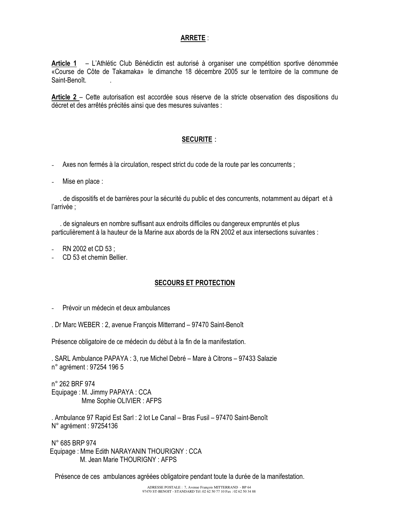### **ARRETE:**

Article 1 - L'Athlétic Club Bénédictin est autorisé à organiser une compétition sportive dénommée «Course de Côte de Takamaka» le dimanche 18 décembre 2005 sur le territoire de la commune de Saint-Benoît

Article 2 – Cette autorisation est accordée sous réserve de la stricte observation des dispositions du décret et des arrêtés précités ainsi que des mesures suivantes :

## **SECURITE:**

- Axes non fermés à la circulation, respect strict du code de la route par les concurrents ;
- Mise en place :

de dispositifs et de barrières pour la sécurité du public et des concurrents, notamment au départ et à l'arrivée :

de signaleurs en nombre suffisant aux endroits difficiles ou dangereux empruntés et plus particulièrement à la hauteur de la Marine aux abords de la RN 2002 et aux intersections suivantes :

- RN 2002 et CD 53 :
- CD 53 et chemin Bellier.

#### **SECOURS ET PROTECTION**

- Prévoir un médecin et deux ambulances
- . Dr Marc WEBER : 2, avenue François Mitterrand 97470 Saint-Benoît

Présence obligatoire de ce médecin du début à la fin de la manifestation.

. SARL Ambulance PAPAYA : 3, rue Michel Debré - Mare à Citrons - 97433 Salazie n° agrément : 97254 196 5

n° 262 BRF 974 Equipage: M. Jimmy PAPAYA: CCA Mme Sophie OLIVIER : AFPS

. Ambulance 97 Rapid Est Sarl : 2 lot Le Canal – Bras Fusil – 97470 Saint-Benoît N° agrément : 97254136

N° 685 BRP 974 Equipage: Mme Edith NARAYANIN THOURIGNY: CCA M. Jean Marie THOURIGNY: AFPS

Présence de ces ambulances agréées obligatoire pendant toute la durée de la manifestation.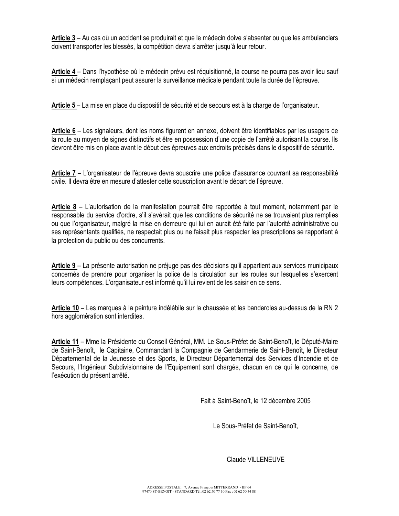Article 3 – Au cas où un accident se produirait et que le médecin doive s'absenter ou que les ambulanciers doivent transporter les blessés, la compétition devra s'arrêter jusqu'à leur retour.

Article 4 – Dans l'hypothèse où le médecin prévu est réquisitionné, la course ne pourra pas avoir lieu sauf si un médecin remplaçant peut assurer la surveillance médicale pendant toute la durée de l'épreuve.

Article 5 – La mise en place du dispositif de sécurité et de secours est à la charge de l'organisateur.

Article 6 – Les signaleurs, dont les noms figurent en annexe, doivent être identifiables par les usagers de la route au moyen de signes distinctifs et être en possession d'une copie de l'arrêté autorisant la course. Ils devront être mis en place avant le début des épreuves aux endroits précisés dans le dispositif de sécurité.

Article 7 – L'organisateur de l'épreuve devra souscrire une police d'assurance couvrant sa responsabilité civile. Il devra être en mesure d'attester cette souscription avant le départ de l'épreuve.

Article 8 – L'autorisation de la manifestation pourrait être rapportée à tout moment, notamment par le responsable du service d'ordre, s'il s'avérait que les conditions de sécurité ne se trouvaient plus remplies ou que l'organisateur, malgré la mise en demeure qui lui en aurait été faite par l'autorité administrative ou ses représentants qualifiés, ne respectait plus ou ne faisait plus respecter les prescriptions se rapportant à la protection du public ou des concurrents.

Article 9 – La présente autorisation ne préjuge pas des décisions qu'il appartient aux services municipaux concernés de prendre pour organiser la police de la circulation sur les routes sur lesquelles s'exercent leurs compétences. L'organisateur est informé qu'il lui revient de les saisir en ce sens.

Article 10 – Les marques à la peinture indélébile sur la chaussée et les banderoles au-dessus de la RN 2 hors agglomération sont interdites.

Article 11 - Mme la Présidente du Conseil Général, MM. Le Sous-Préfet de Saint-Benoît, le Député-Maire de Saint-Benoît, le Capitaine, Commandant la Compagnie de Gendarmerie de Saint-Benoît, le Directeur Départemental de la Jeunesse et des Sports, le Directeur Départemental des Services d'Incendie et de Secours, l'Ingénieur Subdivisionnaire de l'Equipement sont chargés, chacun en ce qui le concerne, de l'exécution du présent arrêté.

Fait à Saint-Benoît, le 12 décembre 2005

Le Sous-Préfet de Saint-Benoît,

Claude VILLENEUVE